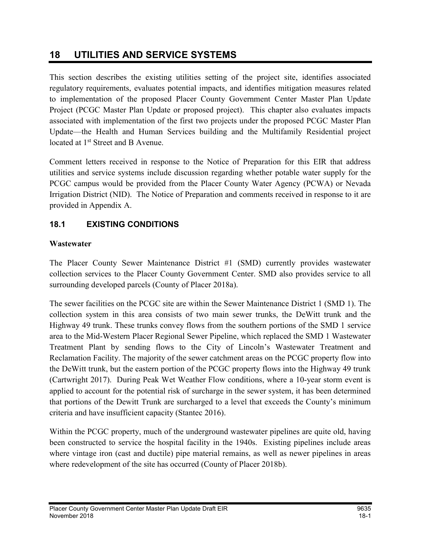# 18 UTILITIES AND SERVICE SYSTEMS

This section describes the existing utilities setting of the project site, identifies associated regulatory requirements, evaluates potential impacts, and identifies mitigation measures related to implementation of the proposed Placer County Government Center Master Plan Update Project (PCGC Master Plan Update or proposed project). This chapter also evaluates impacts associated with implementation of the first two projects under the proposed PCGC Master Plan Update—the Health and Human Services building and the Multifamily Residential project located at 1<sup>st</sup> Street and B Avenue.

Comment letters received in response to the Notice of Preparation for this EIR that address utilities and service systems include discussion regarding whether potable water supply for the PCGC campus would be provided from the Placer County Water Agency (PCWA) or Nevada Irrigation District (NID). The Notice of Preparation and comments received in response to it are provided in Appendix A.

# 18.1 EXISTING CONDITIONS

## **Wastewater**

The Placer County Sewer Maintenance District #1 (SMD) currently provides wastewater collection services to the Placer County Government Center. SMD also provides service to all surrounding developed parcels (County of Placer 2018a).

The sewer facilities on the PCGC site are within the Sewer Maintenance District 1 (SMD 1). The collection system in this area consists of two main sewer trunks, the DeWitt trunk and the Highway 49 trunk. These trunks convey flows from the southern portions of the SMD 1 service area to the Mid-Western Placer Regional Sewer Pipeline, which replaced the SMD 1 Wastewater Treatment Plant by sending flows to the City of Lincoln's Wastewater Treatment and Reclamation Facility. The majority of the sewer catchment areas on the PCGC property flow into the DeWitt trunk, but the eastern portion of the PCGC property flows into the Highway 49 trunk (Cartwright 2017). During Peak Wet Weather Flow conditions, where a 10-year storm event is applied to account for the potential risk of surcharge in the sewer system, it has been determined that portions of the Dewitt Trunk are surcharged to a level that exceeds the County's minimum criteria and have insufficient capacity (Stantec 2016).

Within the PCGC property, much of the underground wastewater pipelines are quite old, having been constructed to service the hospital facility in the 1940s. Existing pipelines include areas where vintage iron (cast and ductile) pipe material remains, as well as newer pipelines in areas where redevelopment of the site has occurred (County of Placer 2018b).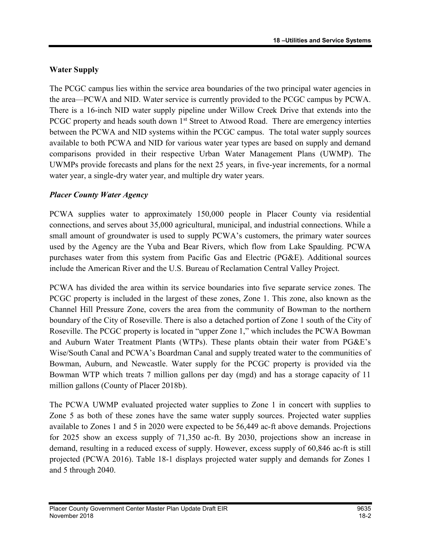## Water Supply

The PCGC campus lies within the service area boundaries of the two principal water agencies in the area—PCWA and NID. Water service is currently provided to the PCGC campus by PCWA. There is a 16-inch NID water supply pipeline under Willow Creek Drive that extends into the PCGC property and heads south down  $1<sup>st</sup>$  Street to Atwood Road. There are emergency interties between the PCWA and NID systems within the PCGC campus. The total water supply sources available to both PCWA and NID for various water year types are based on supply and demand comparisons provided in their respective Urban Water Management Plans (UWMP). The UWMPs provide forecasts and plans for the next 25 years, in five-year increments, for a normal water year, a single-dry water year, and multiple dry water years.

## Placer County Water Agency

PCWA supplies water to approximately 150,000 people in Placer County via residential connections, and serves about 35,000 agricultural, municipal, and industrial connections. While a small amount of groundwater is used to supply PCWA's customers, the primary water sources used by the Agency are the Yuba and Bear Rivers, which flow from Lake Spaulding. PCWA purchases water from this system from Pacific Gas and Electric (PG&E). Additional sources include the American River and the U.S. Bureau of Reclamation Central Valley Project.

PCWA has divided the area within its service boundaries into five separate service zones. The PCGC property is included in the largest of these zones, Zone 1. This zone, also known as the Channel Hill Pressure Zone, covers the area from the community of Bowman to the northern boundary of the City of Roseville. There is also a detached portion of Zone 1 south of the City of Roseville. The PCGC property is located in "upper Zone 1," which includes the PCWA Bowman and Auburn Water Treatment Plants (WTPs). These plants obtain their water from PG&E's Wise/South Canal and PCWA's Boardman Canal and supply treated water to the communities of Bowman, Auburn, and Newcastle. Water supply for the PCGC property is provided via the Bowman WTP which treats 7 million gallons per day (mgd) and has a storage capacity of 11 million gallons (County of Placer 2018b).

The PCWA UWMP evaluated projected water supplies to Zone 1 in concert with supplies to Zone 5 as both of these zones have the same water supply sources. Projected water supplies available to Zones 1 and 5 in 2020 were expected to be 56,449 ac-ft above demands. Projections for 2025 show an excess supply of 71,350 ac-ft. By 2030, projections show an increase in demand, resulting in a reduced excess of supply. However, excess supply of 60,846 ac-ft is still projected (PCWA 2016). Table 18-1 displays projected water supply and demands for Zones 1 and 5 through 2040.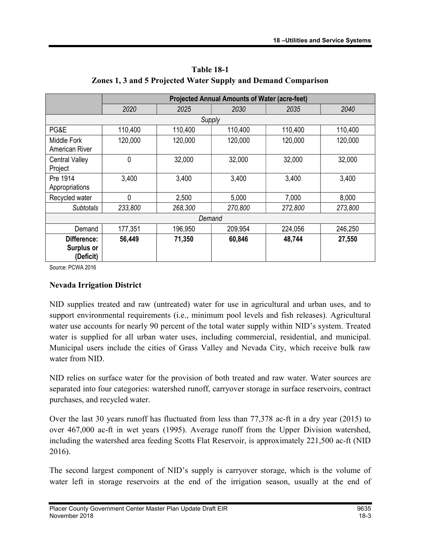|                                        | <b>Projected Annual Amounts of Water (acre-feet)</b> |         |         |         |         |
|----------------------------------------|------------------------------------------------------|---------|---------|---------|---------|
|                                        | 2020                                                 | 2025    | 2030    | 2035    | 2040    |
|                                        |                                                      | Supply  |         |         |         |
| PG&E                                   | 110,400                                              | 110,400 | 110,400 | 110,400 | 110,400 |
| Middle Fork<br>American River          | 120,000                                              | 120,000 | 120,000 | 120,000 | 120,000 |
| <b>Central Valley</b><br>Project       | 0                                                    | 32,000  | 32,000  | 32,000  | 32,000  |
| Pre 1914<br>Appropriations             | 3,400                                                | 3,400   | 3,400   | 3,400   | 3,400   |
| Recycled water                         | 0                                                    | 2,500   | 5,000   | 7,000   | 8,000   |
| <b>Subtotals</b>                       | 233,800                                              | 268,300 | 270,800 | 272,800 | 273,800 |
| Demand                                 |                                                      |         |         |         |         |
| Demand                                 | 177,351                                              | 196,950 | 209,954 | 224,056 | 246,250 |
| Difference:<br>Surplus or<br>(Deficit) | 56,449                                               | 71,350  | 60,846  | 48,744  | 27,550  |

Table 18-1 Zones 1, 3 and 5 Projected Water Supply and Demand Comparison

Source: PCWA 2016

#### Nevada Irrigation District

NID supplies treated and raw (untreated) water for use in agricultural and urban uses, and to support environmental requirements (i.e., minimum pool levels and fish releases). Agricultural water use accounts for nearly 90 percent of the total water supply within NID's system. Treated water is supplied for all urban water uses, including commercial, residential, and municipal. Municipal users include the cities of Grass Valley and Nevada City, which receive bulk raw water from NID.

NID relies on surface water for the provision of both treated and raw water. Water sources are separated into four categories: watershed runoff, carryover storage in surface reservoirs, contract purchases, and recycled water.

Over the last 30 years runoff has fluctuated from less than 77,378 ac-ft in a dry year (2015) to over 467,000 ac-ft in wet years (1995). Average runoff from the Upper Division watershed, including the watershed area feeding Scotts Flat Reservoir, is approximately 221,500 ac-ft (NID 2016).

The second largest component of NID's supply is carryover storage, which is the volume of water left in storage reservoirs at the end of the irrigation season, usually at the end of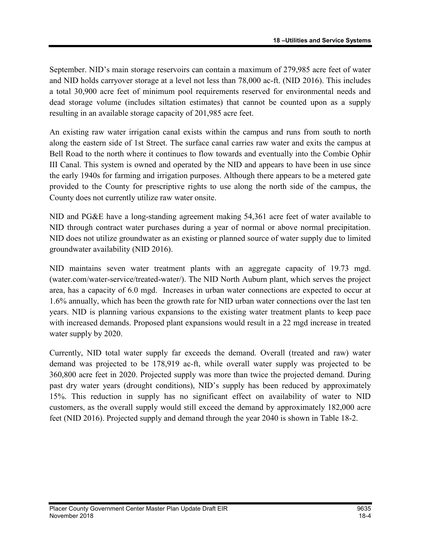September. NID's main storage reservoirs can contain a maximum of 279,985 acre feet of water and NID holds carryover storage at a level not less than 78,000 ac-ft. (NID 2016). This includes a total 30,900 acre feet of minimum pool requirements reserved for environmental needs and dead storage volume (includes siltation estimates) that cannot be counted upon as a supply resulting in an available storage capacity of 201,985 acre feet.

An existing raw water irrigation canal exists within the campus and runs from south to north along the eastern side of 1st Street. The surface canal carries raw water and exits the campus at Bell Road to the north where it continues to flow towards and eventually into the Combie Ophir III Canal. This system is owned and operated by the NID and appears to have been in use since the early 1940s for farming and irrigation purposes. Although there appears to be a metered gate provided to the County for prescriptive rights to use along the north side of the campus, the County does not currently utilize raw water onsite.

NID and PG&E have a long-standing agreement making 54,361 acre feet of water available to NID through contract water purchases during a year of normal or above normal precipitation. NID does not utilize groundwater as an existing or planned source of water supply due to limited groundwater availability (NID 2016).

NID maintains seven water treatment plants with an aggregate capacity of 19.73 mgd. (water.com/water-service/treated-water/). The NID North Auburn plant, which serves the project area, has a capacity of 6.0 mgd. Increases in urban water connections are expected to occur at 1.6% annually, which has been the growth rate for NID urban water connections over the last ten years. NID is planning various expansions to the existing water treatment plants to keep pace with increased demands. Proposed plant expansions would result in a 22 mgd increase in treated water supply by 2020.

Currently, NID total water supply far exceeds the demand. Overall (treated and raw) water demand was projected to be 178,919 ac-ft, while overall water supply was projected to be 360,800 acre feet in 2020. Projected supply was more than twice the projected demand. During past dry water years (drought conditions), NID's supply has been reduced by approximately 15%. This reduction in supply has no significant effect on availability of water to NID customers, as the overall supply would still exceed the demand by approximately 182,000 acre feet (NID 2016). Projected supply and demand through the year 2040 is shown in Table 18-2.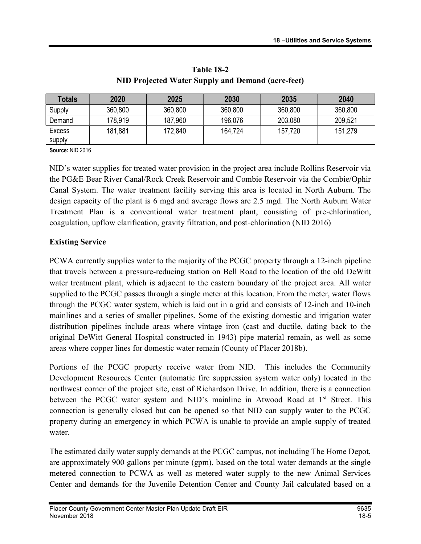| <b>Totals</b> | 2020    | 2025    | 2030    | 2035    | 2040    |
|---------------|---------|---------|---------|---------|---------|
| Supply        | 360,800 | 360,800 | 360,800 | 360,800 | 360,800 |
| Demand        | 178,919 | 187,960 | 196,076 | 203,080 | 209,521 |
| <b>Excess</b> | 181,881 | 172,840 | 164,724 | 157.720 | 151,279 |
| supply        |         |         |         |         |         |

Table 18-2 NID Projected Water Supply and Demand (acre-feet)

Source: NID 2016

NID's water supplies for treated water provision in the project area include Rollins Reservoir via the PG&E Bear River Canal/Rock Creek Reservoir and Combie Reservoir via the Combie/Ophir Canal System. The water treatment facility serving this area is located in North Auburn. The design capacity of the plant is 6 mgd and average flows are 2.5 mgd. The North Auburn Water Treatment Plan is a conventional water treatment plant, consisting of pre-chlorination, coagulation, upflow clarification, gravity filtration, and post-chlorination (NID 2016)

## Existing Service

PCWA currently supplies water to the majority of the PCGC property through a 12-inch pipeline that travels between a pressure-reducing station on Bell Road to the location of the old DeWitt water treatment plant, which is adjacent to the eastern boundary of the project area. All water supplied to the PCGC passes through a single meter at this location. From the meter, water flows through the PCGC water system, which is laid out in a grid and consists of 12-inch and 10-inch mainlines and a series of smaller pipelines. Some of the existing domestic and irrigation water distribution pipelines include areas where vintage iron (cast and ductile, dating back to the original DeWitt General Hospital constructed in 1943) pipe material remain, as well as some areas where copper lines for domestic water remain (County of Placer 2018b).

Portions of the PCGC property receive water from NID. This includes the Community Development Resources Center (automatic fire suppression system water only) located in the northwest corner of the project site, east of Richardson Drive. In addition, there is a connection between the PCGC water system and NID's mainline in Atwood Road at 1<sup>st</sup> Street. This connection is generally closed but can be opened so that NID can supply water to the PCGC property during an emergency in which PCWA is unable to provide an ample supply of treated water.

The estimated daily water supply demands at the PCGC campus, not including The Home Depot, are approximately 900 gallons per minute (gpm), based on the total water demands at the single metered connection to PCWA as well as metered water supply to the new Animal Services Center and demands for the Juvenile Detention Center and County Jail calculated based on a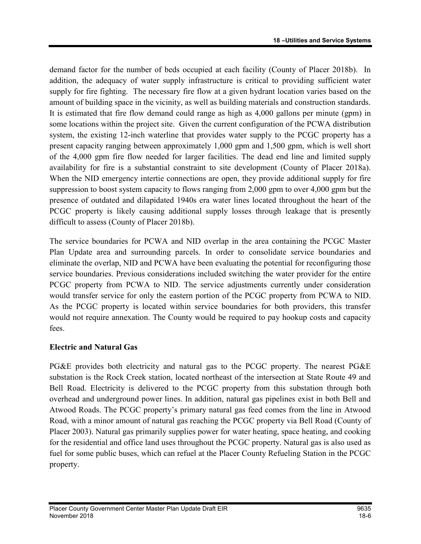demand factor for the number of beds occupied at each facility (County of Placer 2018b). In addition, the adequacy of water supply infrastructure is critical to providing sufficient water supply for fire fighting. The necessary fire flow at a given hydrant location varies based on the amount of building space in the vicinity, as well as building materials and construction standards. It is estimated that fire flow demand could range as high as 4,000 gallons per minute (gpm) in some locations within the project site. Given the current configuration of the PCWA distribution system, the existing 12-inch waterline that provides water supply to the PCGC property has a present capacity ranging between approximately 1,000 gpm and 1,500 gpm, which is well short of the 4,000 gpm fire flow needed for larger facilities. The dead end line and limited supply availability for fire is a substantial constraint to site development (County of Placer 2018a). When the NID emergency intertie connections are open, they provide additional supply for fire suppression to boost system capacity to flows ranging from 2,000 gpm to over 4,000 gpm but the presence of outdated and dilapidated 1940s era water lines located throughout the heart of the PCGC property is likely causing additional supply losses through leakage that is presently difficult to assess (County of Placer 2018b).

The service boundaries for PCWA and NID overlap in the area containing the PCGC Master Plan Update area and surrounding parcels. In order to consolidate service boundaries and eliminate the overlap, NID and PCWA have been evaluating the potential for reconfiguring those service boundaries. Previous considerations included switching the water provider for the entire PCGC property from PCWA to NID. The service adjustments currently under consideration would transfer service for only the eastern portion of the PCGC property from PCWA to NID. As the PCGC property is located within service boundaries for both providers, this transfer would not require annexation. The County would be required to pay hookup costs and capacity fees.

## Electric and Natural Gas

PG&E provides both electricity and natural gas to the PCGC property. The nearest PG&E substation is the Rock Creek station, located northeast of the intersection at State Route 49 and Bell Road. Electricity is delivered to the PCGC property from this substation through both overhead and underground power lines. In addition, natural gas pipelines exist in both Bell and Atwood Roads. The PCGC property's primary natural gas feed comes from the line in Atwood Road, with a minor amount of natural gas reaching the PCGC property via Bell Road (County of Placer 2003). Natural gas primarily supplies power for water heating, space heating, and cooking for the residential and office land uses throughout the PCGC property. Natural gas is also used as fuel for some public buses, which can refuel at the Placer County Refueling Station in the PCGC property.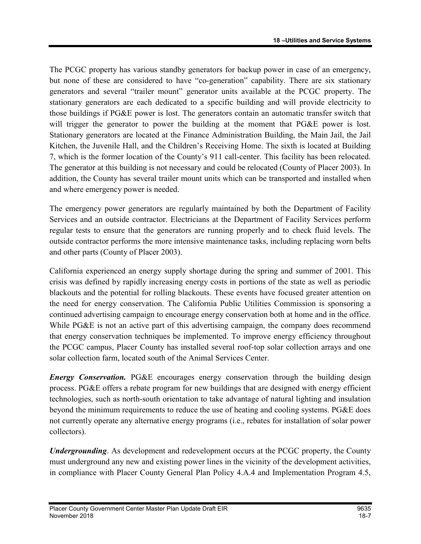The PCGC property has various standby generators for backup power in case of an emergency, but none of these are considered to have "co-generation" capability. There are six stationary generators and several "trailer mount" generator units available at the PCGC property. The stationary generators are each dedicated to a specific building and will provide electricity to those buildings if PG&E power is lost. The generators contain an automatic transfer switch that will trigger the generator to power the building at the moment that PG&E power is lost. Stationary generators are located at the Finance Administration Building, the Main Jail, the Jail Kitchen, the Juvenile Hall, and the Children's Receiving Home. The sixth is located at Building 7, which is the former location of the County's 911 call-center. This facility has been relocated. The generator at this building is not necessary and could be relocated (County of Placer 2003). In addition, the County has several trailer mount units which can be transported and installed when and where emergency power is needed.

The emergency power generators are regularly maintained by both the Department of Facility Services and an outside contractor. Electricians at the Department of Facility Services perform regular tests to ensure that the generators are running properly and to check fluid levels. The outside contractor performs the more intensive maintenance tasks, including replacing worn belts and other parts (County of Placer 2003).

California experienced an energy supply shortage during the spring and summer of 2001. This crisis was defined by rapidly increasing energy costs in portions of the state as well as periodic blackouts and the potential for rolling blackouts. These events have focused greater attention on the need for energy conservation. The California Public Utilities Commission is sponsoring a continued advertising campaign to encourage energy conservation both at home and in the office. While PG&E is not an active part of this advertising campaign, the company does recommend that energy conservation techniques be implemented. To improve energy efficiency throughout the PCGC campus, Placer County has installed several roof-top solar collection arrays and one solar collection farm, located south of the Animal Services Center.

**Energy Conservation.** PG&E encourages energy conservation through the building design process. PG&E offers a rebate program for new buildings that are designed with energy efficient technologies, such as north-south orientation to take advantage of natural lighting and insulation beyond the minimum requirements to reduce the use of heating and cooling systems. PG&E does not currently operate any alternative energy programs (i.e., rebates for installation of solar power collectors).

Undergrounding. As development and redevelopment occurs at the PCGC property, the County must underground any new and existing power lines in the vicinity of the development activities, in compliance with Placer County General Plan Policy 4.A.4 and Implementation Program 4.5,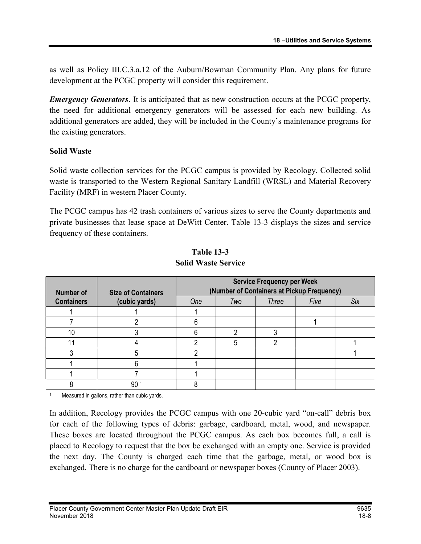as well as Policy III.C.3.a.12 of the Auburn/Bowman Community Plan. Any plans for future development at the PCGC property will consider this requirement.

**Emergency Generators.** It is anticipated that as new construction occurs at the PCGC property, the need for additional emergency generators will be assessed for each new building. As additional generators are added, they will be included in the County's maintenance programs for the existing generators.

#### Solid Waste

Solid waste collection services for the PCGC campus is provided by Recology. Collected solid waste is transported to the Western Regional Sanitary Landfill (WRSL) and Material Recovery Facility (MRF) in western Placer County.

The PCGC campus has 42 trash containers of various sizes to serve the County departments and private businesses that lease space at DeWitt Center. Table 13-3 displays the sizes and service frequency of these containers.

| <b>Number of</b>  | <b>Size of Containers</b> | <b>Service Frequency per Week</b><br>(Number of Containers at Pickup Frequency) |     |              |      |            |
|-------------------|---------------------------|---------------------------------------------------------------------------------|-----|--------------|------|------------|
| <b>Containers</b> | (cubic yards)             | One                                                                             | Two | <b>Three</b> | Five | <b>Six</b> |
|                   |                           |                                                                                 |     |              |      |            |
|                   |                           |                                                                                 |     |              |      |            |
| 10                |                           |                                                                                 |     |              |      |            |
|                   |                           |                                                                                 |     |              |      |            |
|                   | 5                         |                                                                                 |     |              |      |            |
|                   | 6                         |                                                                                 |     |              |      |            |
|                   |                           |                                                                                 |     |              |      |            |
|                   | 90                        |                                                                                 |     |              |      |            |

#### Table 13-3 Solid Waste Service

1 Measured in gallons, rather than cubic yards.

In addition, Recology provides the PCGC campus with one 20-cubic yard "on-call" debris box for each of the following types of debris: garbage, cardboard, metal, wood, and newspaper. These boxes are located throughout the PCGC campus. As each box becomes full, a call is placed to Recology to request that the box be exchanged with an empty one. Service is provided the next day. The County is charged each time that the garbage, metal, or wood box is exchanged. There is no charge for the cardboard or newspaper boxes (County of Placer 2003).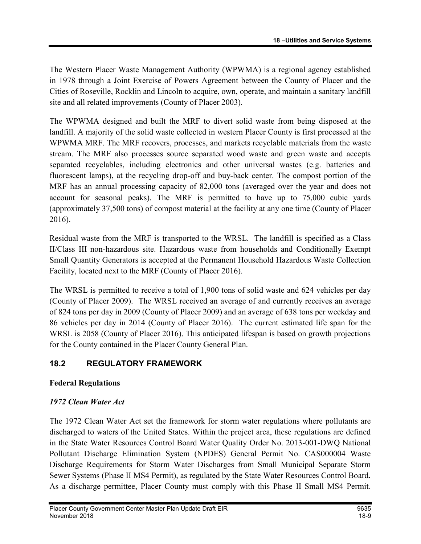The Western Placer Waste Management Authority (WPWMA) is a regional agency established in 1978 through a Joint Exercise of Powers Agreement between the County of Placer and the Cities of Roseville, Rocklin and Lincoln to acquire, own, operate, and maintain a sanitary landfill site and all related improvements (County of Placer 2003).

The WPWMA designed and built the MRF to divert solid waste from being disposed at the landfill. A majority of the solid waste collected in western Placer County is first processed at the WPWMA MRF. The MRF recovers, processes, and markets recyclable materials from the waste stream. The MRF also processes source separated wood waste and green waste and accepts separated recyclables, including electronics and other universal wastes (e.g. batteries and fluorescent lamps), at the recycling drop-off and buy-back center. The compost portion of the MRF has an annual processing capacity of 82,000 tons (averaged over the year and does not account for seasonal peaks). The MRF is permitted to have up to 75,000 cubic yards (approximately 37,500 tons) of compost material at the facility at any one time (County of Placer 2016).

Residual waste from the MRF is transported to the WRSL. The landfill is specified as a Class II/Class III non-hazardous site. Hazardous waste from households and Conditionally Exempt Small Quantity Generators is accepted at the Permanent Household Hazardous Waste Collection Facility, located next to the MRF (County of Placer 2016).

The WRSL is permitted to receive a total of 1,900 tons of solid waste and 624 vehicles per day (County of Placer 2009). The WRSL received an average of and currently receives an average of 824 tons per day in 2009 (County of Placer 2009) and an average of 638 tons per weekday and 86 vehicles per day in 2014 (County of Placer 2016). The current estimated life span for the WRSL is 2058 (County of Placer 2016). This anticipated lifespan is based on growth projections for the County contained in the Placer County General Plan.

## 18.2 REGULATORY FRAMEWORK

#### Federal Regulations

## 1972 Clean Water Act

The 1972 Clean Water Act set the framework for storm water regulations where pollutants are discharged to waters of the United States. Within the project area, these regulations are defined in the State Water Resources Control Board Water Quality Order No. 2013-001-DWQ National Pollutant Discharge Elimination System (NPDES) General Permit No. CAS000004 Waste Discharge Requirements for Storm Water Discharges from Small Municipal Separate Storm Sewer Systems (Phase II MS4 Permit), as regulated by the State Water Resources Control Board. As a discharge permittee, Placer County must comply with this Phase II Small MS4 Permit.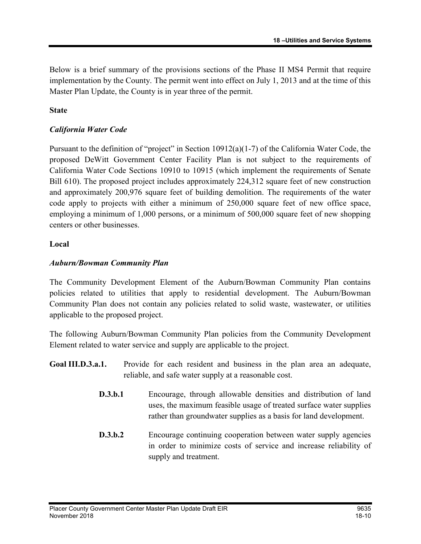Below is a brief summary of the provisions sections of the Phase II MS4 Permit that require implementation by the County. The permit went into effect on July 1, 2013 and at the time of this Master Plan Update, the County is in year three of the permit.

#### State

#### California Water Code

Pursuant to the definition of "project" in Section 10912(a)(1-7) of the California Water Code, the proposed DeWitt Government Center Facility Plan is not subject to the requirements of California Water Code Sections 10910 to 10915 (which implement the requirements of Senate Bill 610). The proposed project includes approximately 224,312 square feet of new construction and approximately 200,976 square feet of building demolition. The requirements of the water code apply to projects with either a minimum of 250,000 square feet of new office space, employing a minimum of 1,000 persons, or a minimum of 500,000 square feet of new shopping centers or other businesses.

#### Local

#### Auburn/Bowman Community Plan

The Community Development Element of the Auburn/Bowman Community Plan contains policies related to utilities that apply to residential development. The Auburn/Bowman Community Plan does not contain any policies related to solid waste, wastewater, or utilities applicable to the proposed project.

The following Auburn/Bowman Community Plan policies from the Community Development Element related to water service and supply are applicable to the project.

- Goal III.D.3.a.1. Provide for each resident and business in the plan area an adequate, reliable, and safe water supply at a reasonable cost.
	- D.3.b.1 Encourage, through allowable densities and distribution of land uses, the maximum feasible usage of treated surface water supplies rather than groundwater supplies as a basis for land development.
	- **D.3.b.2** Encourage continuing cooperation between water supply agencies in order to minimize costs of service and increase reliability of supply and treatment.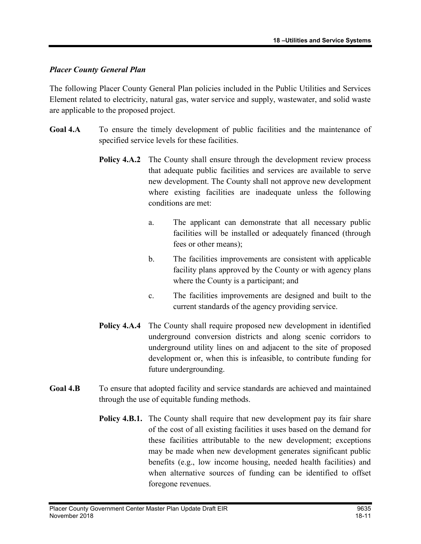#### Placer County General Plan

The following Placer County General Plan policies included in the Public Utilities and Services Element related to electricity, natural gas, water service and supply, wastewater, and solid waste are applicable to the proposed project.

- Goal 4.A To ensure the timely development of public facilities and the maintenance of specified service levels for these facilities.
	- **Policy 4.A.2** The County shall ensure through the development review process that adequate public facilities and services are available to serve new development. The County shall not approve new development where existing facilities are inadequate unless the following conditions are met:
		- a. The applicant can demonstrate that all necessary public facilities will be installed or adequately financed (through fees or other means);
		- b. The facilities improvements are consistent with applicable facility plans approved by the County or with agency plans where the County is a participant; and
		- c. The facilities improvements are designed and built to the current standards of the agency providing service.
	- Policy 4.A.4 The County shall require proposed new development in identified underground conversion districts and along scenic corridors to underground utility lines on and adjacent to the site of proposed development or, when this is infeasible, to contribute funding for future undergrounding.
- Goal 4.B To ensure that adopted facility and service standards are achieved and maintained through the use of equitable funding methods.
	- Policy 4.B.1. The County shall require that new development pay its fair share of the cost of all existing facilities it uses based on the demand for these facilities attributable to the new development; exceptions may be made when new development generates significant public benefits (e.g., low income housing, needed health facilities) and when alternative sources of funding can be identified to offset foregone revenues.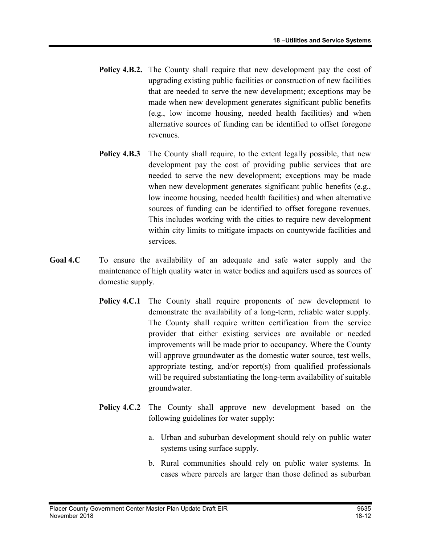- Policy 4.B.2. The County shall require that new development pay the cost of upgrading existing public facilities or construction of new facilities that are needed to serve the new development; exceptions may be made when new development generates significant public benefits (e.g., low income housing, needed health facilities) and when alternative sources of funding can be identified to offset foregone revenues.
- **Policy 4.B.3** The County shall require, to the extent legally possible, that new development pay the cost of providing public services that are needed to serve the new development; exceptions may be made when new development generates significant public benefits (e.g., low income housing, needed health facilities) and when alternative sources of funding can be identified to offset foregone revenues. This includes working with the cities to require new development within city limits to mitigate impacts on countywide facilities and services.
- Goal 4.C To ensure the availability of an adequate and safe water supply and the maintenance of high quality water in water bodies and aquifers used as sources of domestic supply.
	- **Policy 4.C.1** The County shall require proponents of new development to demonstrate the availability of a long-term, reliable water supply. The County shall require written certification from the service provider that either existing services are available or needed improvements will be made prior to occupancy. Where the County will approve groundwater as the domestic water source, test wells, appropriate testing, and/or report(s) from qualified professionals will be required substantiating the long-term availability of suitable groundwater.
	- Policy 4.C.2 The County shall approve new development based on the following guidelines for water supply:
		- a. Urban and suburban development should rely on public water systems using surface supply.
		- b. Rural communities should rely on public water systems. In cases where parcels are larger than those defined as suburban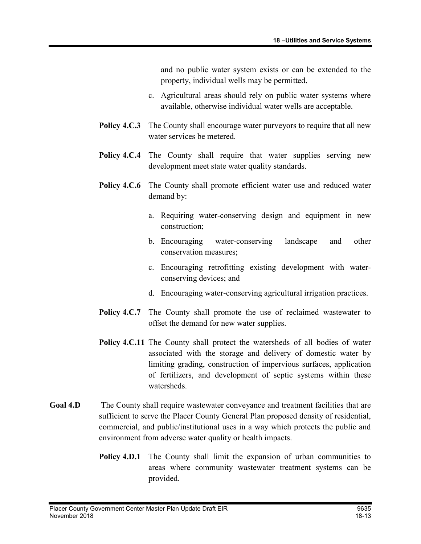and no public water system exists or can be extended to the property, individual wells may be permitted.

- c. Agricultural areas should rely on public water systems where available, otherwise individual water wells are acceptable.
- **Policy 4.C.3** The County shall encourage water purveyors to require that all new water services be metered.
- Policy 4.C.4 The County shall require that water supplies serving new development meet state water quality standards.
- Policy 4.C.6 The County shall promote efficient water use and reduced water demand by:
	- a. Requiring water-conserving design and equipment in new construction;
	- b. Encouraging water-conserving landscape and other conservation measures;
	- c. Encouraging retrofitting existing development with waterconserving devices; and
	- d. Encouraging water-conserving agricultural irrigation practices.
- Policy 4.C.7 The County shall promote the use of reclaimed wastewater to offset the demand for new water supplies.
- Policy 4.C.11 The County shall protect the watersheds of all bodies of water associated with the storage and delivery of domestic water by limiting grading, construction of impervious surfaces, application of fertilizers, and development of septic systems within these watersheds.
- Goal 4.D The County shall require wastewater conveyance and treatment facilities that are sufficient to serve the Placer County General Plan proposed density of residential, commercial, and public/institutional uses in a way which protects the public and environment from adverse water quality or health impacts.
	- **Policy 4.D.1** The County shall limit the expansion of urban communities to areas where community wastewater treatment systems can be provided.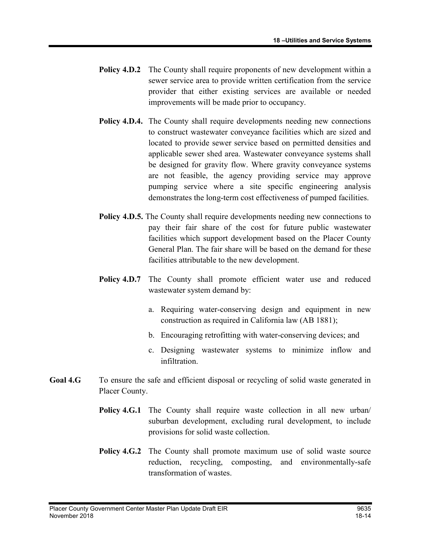- **Policy 4.D.2** The County shall require proponents of new development within a sewer service area to provide written certification from the service provider that either existing services are available or needed improvements will be made prior to occupancy.
- Policy 4.D.4. The County shall require developments needing new connections to construct wastewater conveyance facilities which are sized and located to provide sewer service based on permitted densities and applicable sewer shed area. Wastewater conveyance systems shall be designed for gravity flow. Where gravity conveyance systems are not feasible, the agency providing service may approve pumping service where a site specific engineering analysis demonstrates the long-term cost effectiveness of pumped facilities.
- Policy 4.D.5. The County shall require developments needing new connections to pay their fair share of the cost for future public wastewater facilities which support development based on the Placer County General Plan. The fair share will be based on the demand for these facilities attributable to the new development.
- Policy 4.D.7 The County shall promote efficient water use and reduced wastewater system demand by:
	- a. Requiring water-conserving design and equipment in new construction as required in California law (AB 1881);
	- b. Encouraging retrofitting with water-conserving devices; and
	- c. Designing wastewater systems to minimize inflow and infiltration.
- Goal 4.G To ensure the safe and efficient disposal or recycling of solid waste generated in Placer County.
	- **Policy 4.G.1** The County shall require waste collection in all new urban/ suburban development, excluding rural development, to include provisions for solid waste collection.
	- Policy 4.G.2 The County shall promote maximum use of solid waste source reduction, recycling, composting, and environmentally-safe transformation of wastes.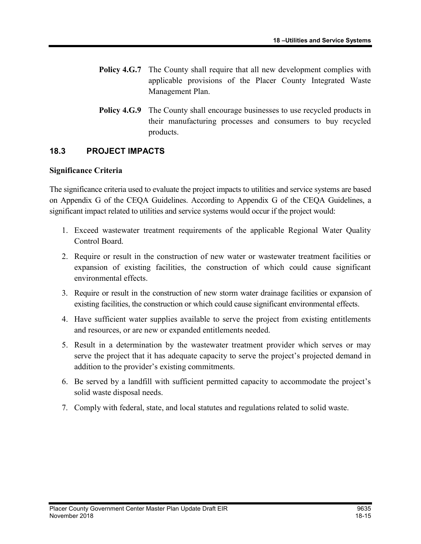- **Policy 4.G.7** The County shall require that all new development complies with applicable provisions of the Placer County Integrated Waste Management Plan.
- **Policy 4.G.9** The County shall encourage businesses to use recycled products in their manufacturing processes and consumers to buy recycled products.

## 18.3 PROJECT IMPACTS

#### Significance Criteria

The significance criteria used to evaluate the project impacts to utilities and service systems are based on Appendix G of the CEQA Guidelines. According to Appendix G of the CEQA Guidelines, a significant impact related to utilities and service systems would occur if the project would:

- 1. Exceed wastewater treatment requirements of the applicable Regional Water Quality Control Board.
- 2. Require or result in the construction of new water or wastewater treatment facilities or expansion of existing facilities, the construction of which could cause significant environmental effects.
- 3. Require or result in the construction of new storm water drainage facilities or expansion of existing facilities, the construction or which could cause significant environmental effects.
- 4. Have sufficient water supplies available to serve the project from existing entitlements and resources, or are new or expanded entitlements needed.
- 5. Result in a determination by the wastewater treatment provider which serves or may serve the project that it has adequate capacity to serve the project's projected demand in addition to the provider's existing commitments.
- 6. Be served by a landfill with sufficient permitted capacity to accommodate the project's solid waste disposal needs.
- 7. Comply with federal, state, and local statutes and regulations related to solid waste.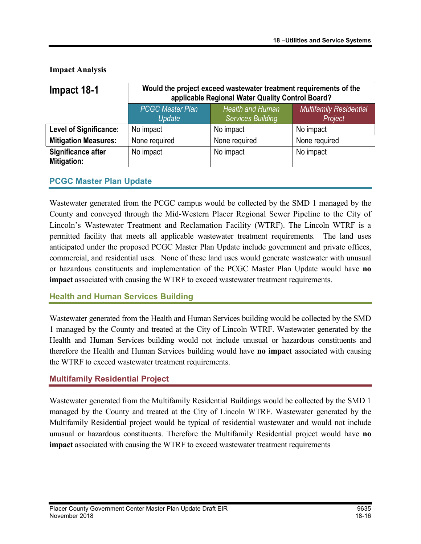Impact Analysis

| Impact 18-1                       | Would the project exceed wastewater treatment requirements of the<br>applicable Regional Water Quality Control Board? |               |                                           |  |
|-----------------------------------|-----------------------------------------------------------------------------------------------------------------------|---------------|-------------------------------------------|--|
|                                   | <b>PCGC Master Plan</b><br><b>Health and Human</b><br><b>Services Building</b><br>Update                              |               | <b>Multifamily Residential</b><br>Project |  |
| <b>Level of Significance:</b>     | No impact                                                                                                             | No impact     | No impact                                 |  |
| <b>Mitigation Measures:</b>       | None required                                                                                                         | None required | None required                             |  |
| Significance after<br>Mitigation: | No impact                                                                                                             | No impact     | No impact                                 |  |

## PCGC Master Plan Update

Wastewater generated from the PCGC campus would be collected by the SMD 1 managed by the County and conveyed through the Mid-Western Placer Regional Sewer Pipeline to the City of Lincoln's Wastewater Treatment and Reclamation Facility (WTRF). The Lincoln WTRF is a permitted facility that meets all applicable wastewater treatment requirements. The land uses anticipated under the proposed PCGC Master Plan Update include government and private offices, commercial, and residential uses. None of these land uses would generate wastewater with unusual or hazardous constituents and implementation of the PCGC Master Plan Update would have no impact associated with causing the WTRF to exceed wastewater treatment requirements.

## Health and Human Services Building

Wastewater generated from the Health and Human Services building would be collected by the SMD 1 managed by the County and treated at the City of Lincoln WTRF. Wastewater generated by the Health and Human Services building would not include unusual or hazardous constituents and therefore the Health and Human Services building would have no impact associated with causing the WTRF to exceed wastewater treatment requirements.

## Multifamily Residential Project

Wastewater generated from the Multifamily Residential Buildings would be collected by the SMD 1 managed by the County and treated at the City of Lincoln WTRF. Wastewater generated by the Multifamily Residential project would be typical of residential wastewater and would not include unusual or hazardous constituents. Therefore the Multifamily Residential project would have no impact associated with causing the WTRF to exceed wastewater treatment requirements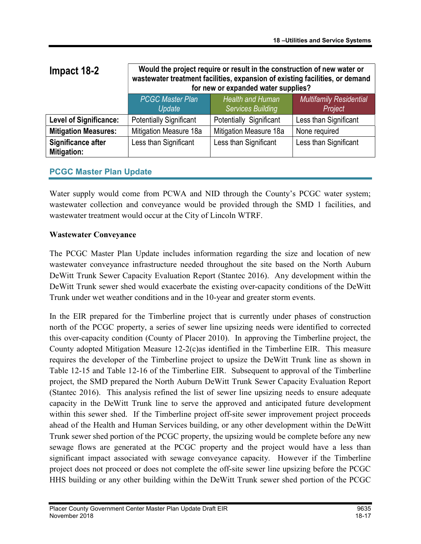| Impact 18-2                              | Would the project require or result in the construction of new water or<br>wastewater treatment facilities, expansion of existing facilities, or demand<br>for new or expanded water supplies? |                                              |                                           |  |
|------------------------------------------|------------------------------------------------------------------------------------------------------------------------------------------------------------------------------------------------|----------------------------------------------|-------------------------------------------|--|
|                                          | <b>PCGC Master Plan</b><br>Update                                                                                                                                                              | Health and Human<br><b>Services Building</b> | <b>Multifamily Residential</b><br>Project |  |
| <b>Level of Significance:</b>            | <b>Potentially Significant</b>                                                                                                                                                                 | Potentially Significant                      | Less than Significant                     |  |
| <b>Mitigation Measures:</b>              | Mitigation Measure 18a                                                                                                                                                                         | Mitigation Measure 18a                       | None required                             |  |
| Significance after<br><b>Mitigation:</b> | Less than Significant                                                                                                                                                                          | Less than Significant                        | Less than Significant                     |  |

## PCGC Master Plan Update

Water supply would come from PCWA and NID through the County's PCGC water system; wastewater collection and conveyance would be provided through the SMD 1 facilities, and wastewater treatment would occur at the City of Lincoln WTRF.

## Wastewater Conveyance

The PCGC Master Plan Update includes information regarding the size and location of new wastewater conveyance infrastructure needed throughout the site based on the North Auburn DeWitt Trunk Sewer Capacity Evaluation Report (Stantec 2016). Any development within the DeWitt Trunk sewer shed would exacerbate the existing over-capacity conditions of the DeWitt Trunk under wet weather conditions and in the 10-year and greater storm events.

In the EIR prepared for the Timberline project that is currently under phases of construction north of the PCGC property, a series of sewer line upsizing needs were identified to corrected this over-capacity condition (County of Placer 2010). In approving the Timberline project, the County adopted Mitigation Measure 12-2(c)as identified in the Timberline EIR. This measure requires the developer of the Timberline project to upsize the DeWitt Trunk line as shown in Table 12-15 and Table 12-16 of the Timberline EIR. Subsequent to approval of the Timberline project, the SMD prepared the North Auburn DeWitt Trunk Sewer Capacity Evaluation Report (Stantec 2016). This analysis refined the list of sewer line upsizing needs to ensure adequate capacity in the DeWitt Trunk line to serve the approved and anticipated future development within this sewer shed. If the Timberline project off-site sewer improvement project proceeds ahead of the Health and Human Services building, or any other development within the DeWitt Trunk sewer shed portion of the PCGC property, the upsizing would be complete before any new sewage flows are generated at the PCGC property and the project would have a less than significant impact associated with sewage conveyance capacity. However if the Timberline project does not proceed or does not complete the off-site sewer line upsizing before the PCGC HHS building or any other building within the DeWitt Trunk sewer shed portion of the PCGC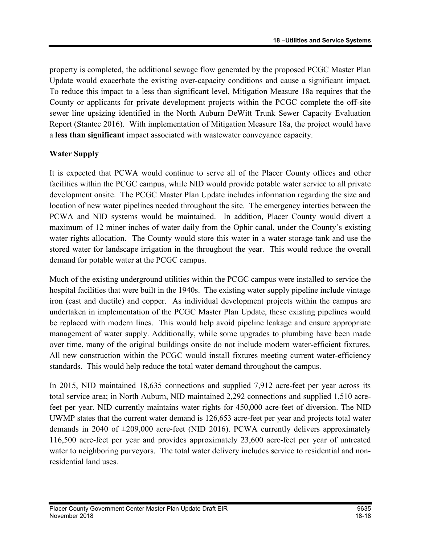property is completed, the additional sewage flow generated by the proposed PCGC Master Plan Update would exacerbate the existing over-capacity conditions and cause a significant impact. To reduce this impact to a less than significant level, Mitigation Measure 18a requires that the County or applicants for private development projects within the PCGC complete the off-site sewer line upsizing identified in the North Auburn DeWitt Trunk Sewer Capacity Evaluation Report (Stantec 2016). With implementation of Mitigation Measure 18a, the project would have a less than significant impact associated with wastewater conveyance capacity.

#### Water Supply

It is expected that PCWA would continue to serve all of the Placer County offices and other facilities within the PCGC campus, while NID would provide potable water service to all private development onsite. The PCGC Master Plan Update includes information regarding the size and location of new water pipelines needed throughout the site. The emergency interties between the PCWA and NID systems would be maintained. In addition, Placer County would divert a maximum of 12 miner inches of water daily from the Ophir canal, under the County's existing water rights allocation. The County would store this water in a water storage tank and use the stored water for landscape irrigation in the throughout the year. This would reduce the overall demand for potable water at the PCGC campus.

Much of the existing underground utilities within the PCGC campus were installed to service the hospital facilities that were built in the 1940s. The existing water supply pipeline include vintage iron (cast and ductile) and copper. As individual development projects within the campus are undertaken in implementation of the PCGC Master Plan Update, these existing pipelines would be replaced with modern lines. This would help avoid pipeline leakage and ensure appropriate management of water supply. Additionally, while some upgrades to plumbing have been made over time, many of the original buildings onsite do not include modern water-efficient fixtures. All new construction within the PCGC would install fixtures meeting current water-efficiency standards. This would help reduce the total water demand throughout the campus.

In 2015, NID maintained 18,635 connections and supplied 7,912 acre-feet per year across its total service area; in North Auburn, NID maintained 2,292 connections and supplied 1,510 acrefeet per year. NID currently maintains water rights for 450,000 acre-feet of diversion. The NID UWMP states that the current water demand is 126,653 acre-feet per year and projects total water demands in 2040 of  $\pm 209,000$  acre-feet (NID 2016). PCWA currently delivers approximately 116,500 acre-feet per year and provides approximately 23,600 acre-feet per year of untreated water to neighboring purveyors. The total water delivery includes service to residential and nonresidential land uses.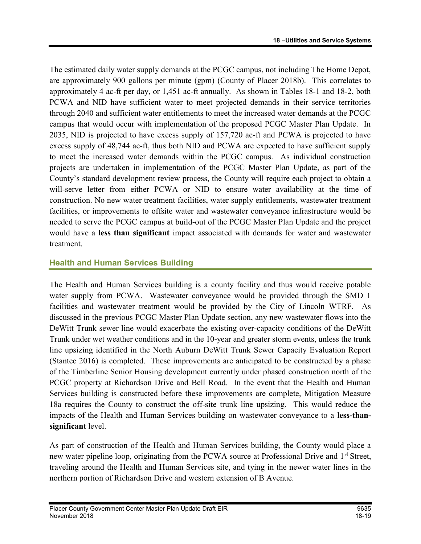The estimated daily water supply demands at the PCGC campus, not including The Home Depot, are approximately 900 gallons per minute (gpm) (County of Placer 2018b). This correlates to approximately 4 ac-ft per day, or 1,451 ac-ft annually. As shown in Tables 18-1 and 18-2, both PCWA and NID have sufficient water to meet projected demands in their service territories through 2040 and sufficient water entitlements to meet the increased water demands at the PCGC campus that would occur with implementation of the proposed PCGC Master Plan Update. In 2035, NID is projected to have excess supply of 157,720 ac-ft and PCWA is projected to have excess supply of 48,744 ac-ft, thus both NID and PCWA are expected to have sufficient supply to meet the increased water demands within the PCGC campus. As individual construction projects are undertaken in implementation of the PCGC Master Plan Update, as part of the County's standard development review process, the County will require each project to obtain a will-serve letter from either PCWA or NID to ensure water availability at the time of construction. No new water treatment facilities, water supply entitlements, wastewater treatment facilities, or improvements to offsite water and wastewater conveyance infrastructure would be needed to serve the PCGC campus at build-out of the PCGC Master Plan Update and the project would have a less than significant impact associated with demands for water and wastewater treatment.

## Health and Human Services Building

The Health and Human Services building is a county facility and thus would receive potable water supply from PCWA. Wastewater conveyance would be provided through the SMD 1 facilities and wastewater treatment would be provided by the City of Lincoln WTRF. As discussed in the previous PCGC Master Plan Update section, any new wastewater flows into the DeWitt Trunk sewer line would exacerbate the existing over-capacity conditions of the DeWitt Trunk under wet weather conditions and in the 10-year and greater storm events, unless the trunk line upsizing identified in the North Auburn DeWitt Trunk Sewer Capacity Evaluation Report (Stantec 2016) is completed. These improvements are anticipated to be constructed by a phase of the Timberline Senior Housing development currently under phased construction north of the PCGC property at Richardson Drive and Bell Road. In the event that the Health and Human Services building is constructed before these improvements are complete, Mitigation Measure 18a requires the County to construct the off-site trunk line upsizing. This would reduce the impacts of the Health and Human Services building on wastewater conveyance to a less-thansignificant level.

As part of construction of the Health and Human Services building, the County would place a new water pipeline loop, originating from the PCWA source at Professional Drive and 1<sup>st</sup> Street, traveling around the Health and Human Services site, and tying in the newer water lines in the northern portion of Richardson Drive and western extension of B Avenue.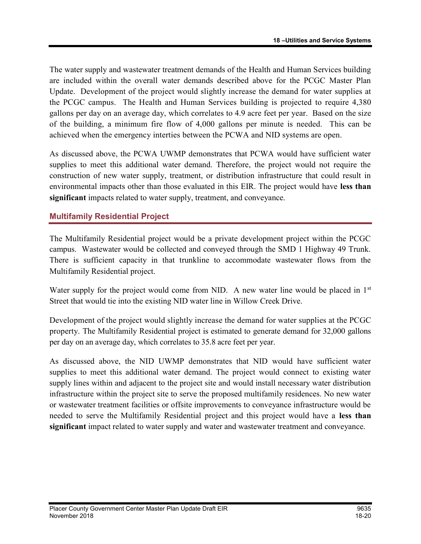The water supply and wastewater treatment demands of the Health and Human Services building are included within the overall water demands described above for the PCGC Master Plan Update. Development of the project would slightly increase the demand for water supplies at the PCGC campus. The Health and Human Services building is projected to require 4,380 gallons per day on an average day, which correlates to 4.9 acre feet per year. Based on the size of the building, a minimum fire flow of 4,000 gallons per minute is needed. This can be achieved when the emergency interties between the PCWA and NID systems are open.

As discussed above, the PCWA UWMP demonstrates that PCWA would have sufficient water supplies to meet this additional water demand. Therefore, the project would not require the construction of new water supply, treatment, or distribution infrastructure that could result in environmental impacts other than those evaluated in this EIR. The project would have less than significant impacts related to water supply, treatment, and conveyance.

## Multifamily Residential Project

The Multifamily Residential project would be a private development project within the PCGC campus. Wastewater would be collected and conveyed through the SMD 1 Highway 49 Trunk. There is sufficient capacity in that trunkline to accommodate wastewater flows from the Multifamily Residential project.

Water supply for the project would come from NID. A new water line would be placed in 1<sup>st</sup> Street that would tie into the existing NID water line in Willow Creek Drive.

Development of the project would slightly increase the demand for water supplies at the PCGC property. The Multifamily Residential project is estimated to generate demand for 32,000 gallons per day on an average day, which correlates to 35.8 acre feet per year.

As discussed above, the NID UWMP demonstrates that NID would have sufficient water supplies to meet this additional water demand. The project would connect to existing water supply lines within and adjacent to the project site and would install necessary water distribution infrastructure within the project site to serve the proposed multifamily residences. No new water or wastewater treatment facilities or offsite improvements to conveyance infrastructure would be needed to serve the Multifamily Residential project and this project would have a less than significant impact related to water supply and water and wastewater treatment and conveyance.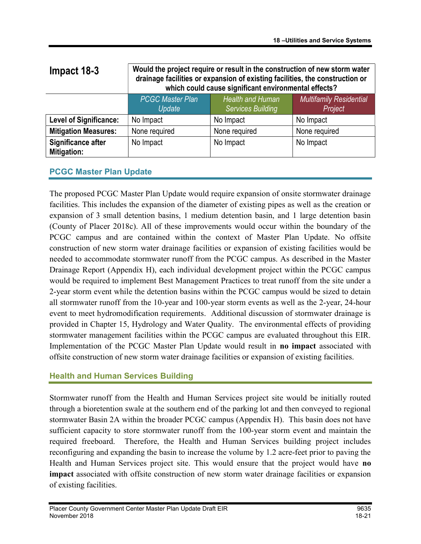| Impact 18-3                       | Would the project require or result in the construction of new storm water<br>drainage facilities or expansion of existing facilities, the construction or<br>which could cause significant environmental effects? |                                                     |                                           |  |
|-----------------------------------|--------------------------------------------------------------------------------------------------------------------------------------------------------------------------------------------------------------------|-----------------------------------------------------|-------------------------------------------|--|
|                                   | <b>PCGC Master Plan</b><br>Update                                                                                                                                                                                  | <b>Health and Human</b><br><b>Services Building</b> | <b>Multifamily Residential</b><br>Project |  |
| <b>Level of Significance:</b>     | No Impact                                                                                                                                                                                                          | No Impact                                           | No Impact                                 |  |
| <b>Mitigation Measures:</b>       | None required                                                                                                                                                                                                      | None required                                       | None required                             |  |
| Significance after<br>Mitigation: | No Impact                                                                                                                                                                                                          | No Impact                                           | No Impact                                 |  |

## PCGC Master Plan Update

The proposed PCGC Master Plan Update would require expansion of onsite stormwater drainage facilities. This includes the expansion of the diameter of existing pipes as well as the creation or expansion of 3 small detention basins, 1 medium detention basin, and 1 large detention basin (County of Placer 2018c). All of these improvements would occur within the boundary of the PCGC campus and are contained within the context of Master Plan Update. No offsite construction of new storm water drainage facilities or expansion of existing facilities would be needed to accommodate stormwater runoff from the PCGC campus. As described in the Master Drainage Report (Appendix H), each individual development project within the PCGC campus would be required to implement Best Management Practices to treat runoff from the site under a 2-year storm event while the detention basins within the PCGC campus would be sized to detain all stormwater runoff from the 10-year and 100-year storm events as well as the 2-year, 24-hour event to meet hydromodification requirements. Additional discussion of stormwater drainage is provided in Chapter 15, Hydrology and Water Quality. The environmental effects of providing stormwater management facilities within the PCGC campus are evaluated throughout this EIR. Implementation of the PCGC Master Plan Update would result in no impact associated with offsite construction of new storm water drainage facilities or expansion of existing facilities.

## Health and Human Services Building

Stormwater runoff from the Health and Human Services project site would be initially routed through a bioretention swale at the southern end of the parking lot and then conveyed to regional stormwater Basin 2A within the broader PCGC campus (Appendix H). This basin does not have sufficient capacity to store stormwater runoff from the 100-year storm event and maintain the required freeboard. Therefore, the Health and Human Services building project includes reconfiguring and expanding the basin to increase the volume by 1.2 acre-feet prior to paving the Health and Human Services project site. This would ensure that the project would have no impact associated with offsite construction of new storm water drainage facilities or expansion of existing facilities.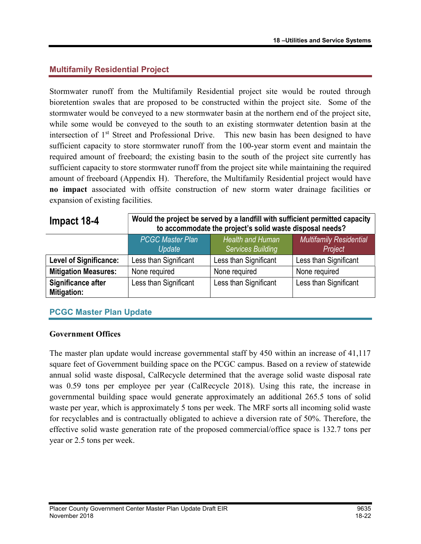## Multifamily Residential Project

Stormwater runoff from the Multifamily Residential project site would be routed through bioretention swales that are proposed to be constructed within the project site. Some of the stormwater would be conveyed to a new stormwater basin at the northern end of the project site, while some would be conveyed to the south to an existing stormwater detention basin at the intersection of 1<sup>st</sup> Street and Professional Drive. This new basin has been designed to have sufficient capacity to store stormwater runoff from the 100-year storm event and maintain the required amount of freeboard; the existing basin to the south of the project site currently has sufficient capacity to store stormwater runoff from the project site while maintaining the required amount of freeboard (Appendix H). Therefore, the Multifamily Residential project would have no impact associated with offsite construction of new storm water drainage facilities or expansion of existing facilities.

| Impact 18-4                              | Would the project be served by a landfill with sufficient permitted capacity<br>to accommodate the project's solid waste disposal needs? |                       |                       |  |
|------------------------------------------|------------------------------------------------------------------------------------------------------------------------------------------|-----------------------|-----------------------|--|
|                                          | <b>PCGC Master Plan</b><br><b>Health and Human</b><br><b>Multifamily Residential</b><br><b>Services Building</b><br>Project<br>Update    |                       |                       |  |
| <b>Level of Significance:</b>            | Less than Significant                                                                                                                    | Less than Significant | Less than Significant |  |
| <b>Mitigation Measures:</b>              | None required                                                                                                                            | None required         | None required         |  |
| Significance after<br><b>Mitigation:</b> | Less than Significant                                                                                                                    | Less than Significant | Less than Significant |  |

## PCGC Master Plan Update

#### Government Offices

The master plan update would increase governmental staff by 450 within an increase of 41,117 square feet of Government building space on the PCGC campus. Based on a review of statewide annual solid waste disposal, CalRecycle determined that the average solid waste disposal rate was 0.59 tons per employee per year (CalRecycle 2018). Using this rate, the increase in governmental building space would generate approximately an additional 265.5 tons of solid waste per year, which is approximately 5 tons per week. The MRF sorts all incoming solid waste for recyclables and is contractually obligated to achieve a diversion rate of 50%. Therefore, the effective solid waste generation rate of the proposed commercial/office space is 132.7 tons per year or 2.5 tons per week.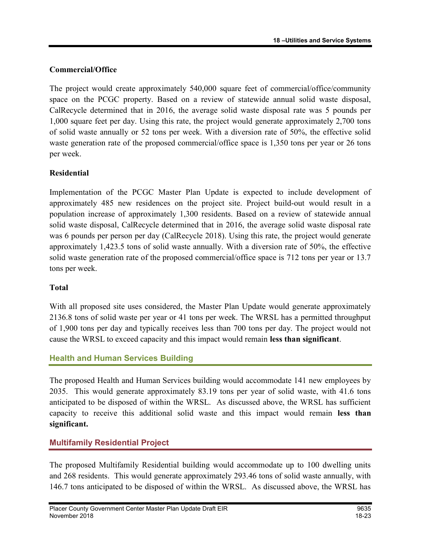## Commercial/Office

The project would create approximately 540,000 square feet of commercial/office/community space on the PCGC property. Based on a review of statewide annual solid waste disposal, CalRecycle determined that in 2016, the average solid waste disposal rate was 5 pounds per 1,000 square feet per day. Using this rate, the project would generate approximately 2,700 tons of solid waste annually or 52 tons per week. With a diversion rate of 50%, the effective solid waste generation rate of the proposed commercial/office space is 1,350 tons per year or 26 tons per week.

## Residential

Implementation of the PCGC Master Plan Update is expected to include development of approximately 485 new residences on the project site. Project build-out would result in a population increase of approximately 1,300 residents. Based on a review of statewide annual solid waste disposal, CalRecycle determined that in 2016, the average solid waste disposal rate was 6 pounds per person per day (CalRecycle 2018). Using this rate, the project would generate approximately 1,423.5 tons of solid waste annually. With a diversion rate of 50%, the effective solid waste generation rate of the proposed commercial/office space is 712 tons per year or 13.7 tons per week.

## Total

With all proposed site uses considered, the Master Plan Update would generate approximately 2136.8 tons of solid waste per year or 41 tons per week. The WRSL has a permitted throughput of 1,900 tons per day and typically receives less than 700 tons per day. The project would not cause the WRSL to exceed capacity and this impact would remain less than significant.

## Health and Human Services Building

The proposed Health and Human Services building would accommodate 141 new employees by 2035. This would generate approximately 83.19 tons per year of solid waste, with 41.6 tons anticipated to be disposed of within the WRSL. As discussed above, the WRSL has sufficient capacity to receive this additional solid waste and this impact would remain less than significant.

## Multifamily Residential Project

The proposed Multifamily Residential building would accommodate up to 100 dwelling units and 268 residents. This would generate approximately 293.46 tons of solid waste annually, with 146.7 tons anticipated to be disposed of within the WRSL. As discussed above, the WRSL has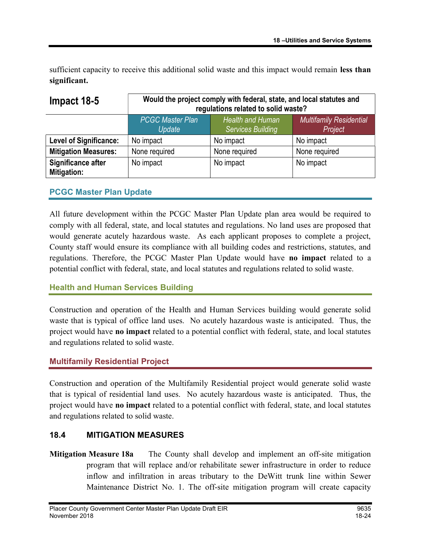sufficient capacity to receive this additional solid waste and this impact would remain less than significant.

| Impact 18-5                              | Would the project comply with federal, state, and local statutes and<br>regulations related to solid waste? |                                              |                                           |
|------------------------------------------|-------------------------------------------------------------------------------------------------------------|----------------------------------------------|-------------------------------------------|
|                                          | <b>PCGC Master Plan</b><br>Update                                                                           | Health and Human<br><b>Services Building</b> | <b>Multifamily Residential</b><br>Project |
| <b>Level of Significance:</b>            | No impact                                                                                                   | No impact                                    | No impact                                 |
| <b>Mitigation Measures:</b>              | None required                                                                                               | None required                                | None required                             |
| Significance after<br><b>Mitigation:</b> | No impact                                                                                                   | No impact                                    | No impact                                 |

## PCGC Master Plan Update

All future development within the PCGC Master Plan Update plan area would be required to comply with all federal, state, and local statutes and regulations. No land uses are proposed that would generate acutely hazardous waste. As each applicant proposes to complete a project, County staff would ensure its compliance with all building codes and restrictions, statutes, and regulations. Therefore, the PCGC Master Plan Update would have no impact related to a potential conflict with federal, state, and local statutes and regulations related to solid waste.

#### Health and Human Services Building

Construction and operation of the Health and Human Services building would generate solid waste that is typical of office land uses. No acutely hazardous waste is anticipated. Thus, the project would have no impact related to a potential conflict with federal, state, and local statutes and regulations related to solid waste.

#### Multifamily Residential Project

Construction and operation of the Multifamily Residential project would generate solid waste that is typical of residential land uses. No acutely hazardous waste is anticipated. Thus, the project would have no impact related to a potential conflict with federal, state, and local statutes and regulations related to solid waste.

#### 18.4 MITIGATION MEASURES

Mitigation Measure 18a The County shall develop and implement an off-site mitigation program that will replace and/or rehabilitate sewer infrastructure in order to reduce inflow and infiltration in areas tributary to the DeWitt trunk line within Sewer Maintenance District No. 1. The off-site mitigation program will create capacity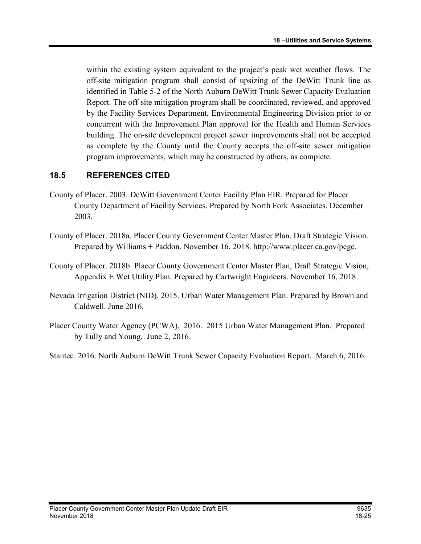within the existing system equivalent to the project's peak wet weather flows. The off-site mitigation program shall consist of upsizing of the DeWitt Trunk line as identified in Table 5-2 of the North Auburn DeWitt Trunk Sewer Capacity Evaluation Report. The off-site mitigation program shall be coordinated, reviewed, and approved by the Facility Services Department, Environmental Engineering Division prior to or concurrent with the Improvement Plan approval for the Health and Human Services building. The on-site development project sewer improvements shall not be accepted as complete by the County until the County accepts the off-site sewer mitigation program improvements, which may be constructed by others, as complete.

## 18.5 REFERENCES CITED

- County of Placer. 2003. DeWitt Government Center Facility Plan EIR. Prepared for Placer County Department of Facility Services. Prepared by North Fork Associates. December 2003.
- County of Placer. 2018a. Placer County Government Center Master Plan, Draft Strategic Vision. Prepared by Williams + Paddon. November 16, 2018. http://www.placer.ca.gov/pcgc.
- County of Placer. 2018b. Placer County Government Center Master Plan, Draft Strategic Vision, Appendix E Wet Utility Plan. Prepared by Cartwright Engineers. November 16, 2018.
- Nevada Irrigation District (NID). 2015. Urban Water Management Plan. Prepared by Brown and Caldwell. June 2016.
- Placer County Water Agency (PCWA). 2016. 2015 Urban Water Management Plan. Prepared by Tully and Young. June 2, 2016.

Stantec. 2016. North Auburn DeWitt Trunk Sewer Capacity Evaluation Report. March 6, 2016.